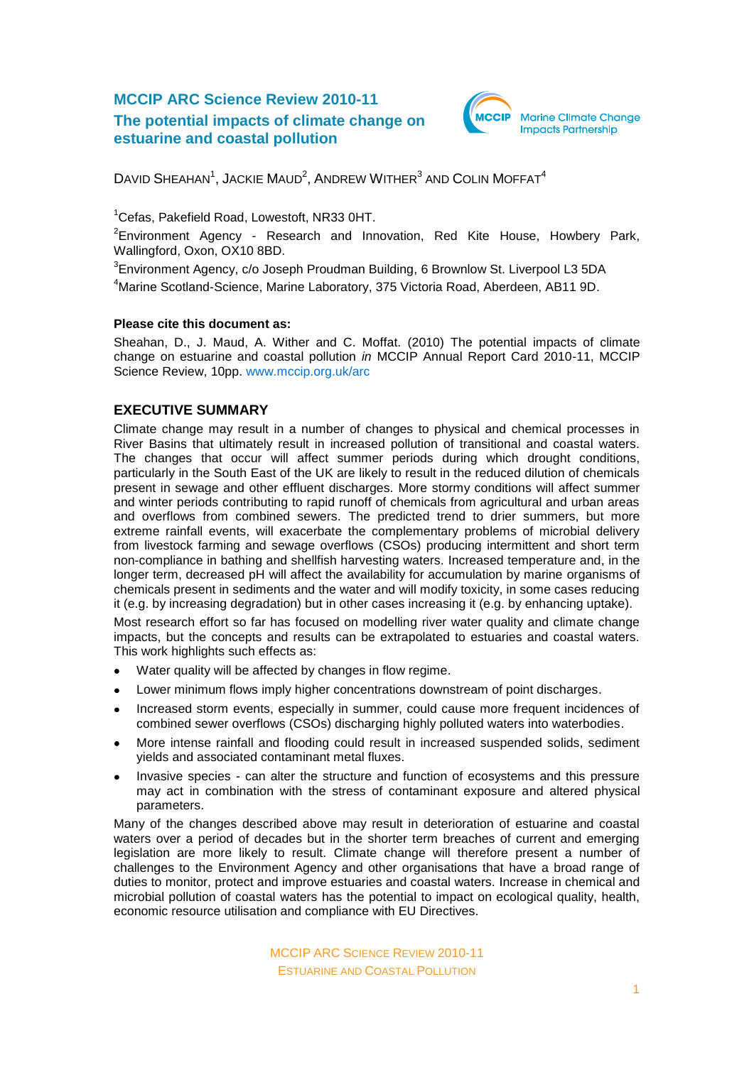# **MCCIP ARC Science Review 2010-11 The potential impacts of climate change on estuarine and coastal pollution**



DAVID SHEAHAN<sup>1</sup>, JACKIE MAUD<sup>2</sup>, ANDREW WITHER<sup>3</sup> AND COLIN MOFFAT<sup>4</sup>

<sup>1</sup>Cefas, Pakefield Road, Lowestoft, NR33 0HT.

 $2$ Environment Agency - Research and Innovation, Red Kite House, Howbery Park, Wallingford, Oxon, OX10 8BD.

 ${}^{3}$ Environment Agency, c/o Joseph Proudman Building, 6 Brownlow St. Liverpool L3 5DA

<sup>4</sup>Marine Scotland-Science, Marine Laboratory, 375 Victoria Road, Aberdeen, AB11 9D.

#### **Please cite this document as:**

Sheahan, D., J. Maud, A. Wither and C. Moffat. (2010) The potential impacts of climate change on estuarine and coastal pollution *in* MCCIP Annual Report Card 2010-11, MCCIP Science Review, 10pp. [www.mccip.org.uk/arc](http://www.mccip.org.uk/arc)

# **EXECUTIVE SUMMARY**

Climate change may result in a number of changes to physical and chemical processes in River Basins that ultimately result in increased pollution of transitional and coastal waters. The changes that occur will affect summer periods during which drought conditions, particularly in the South East of the UK are likely to result in the reduced dilution of chemicals present in sewage and other effluent discharges. More stormy conditions will affect summer and winter periods contributing to rapid runoff of chemicals from agricultural and urban areas and overflows from combined sewers. The predicted trend to drier summers, but more extreme rainfall events, will exacerbate the complementary problems of microbial delivery from livestock farming and sewage overflows (CSOs) producing intermittent and short term non-compliance in bathing and shellfish harvesting waters. Increased temperature and, in the longer term, decreased pH will affect the availability for accumulation by marine organisms of chemicals present in sediments and the water and will modify toxicity, in some cases reducing it (e.g. by increasing degradation) but in other cases increasing it (e.g. by enhancing uptake).

Most research effort so far has focused on modelling river water quality and climate change impacts, but the concepts and results can be extrapolated to estuaries and coastal waters. This work highlights such effects as:

- $\bullet$ Water quality will be affected by changes in flow regime.
- Lower minimum flows imply higher concentrations downstream of point discharges.  $\bullet$
- Increased storm events, especially in summer, could cause more frequent incidences of combined sewer overflows (CSOs) discharging highly polluted waters into waterbodies.
- More intense rainfall and flooding could result in increased suspended solids, sediment  $\bullet$ yields and associated contaminant metal fluxes.
- Invasive species can alter the structure and function of ecosystems and this pressure may act in combination with the stress of contaminant exposure and altered physical parameters.

Many of the changes described above may result in deterioration of estuarine and coastal waters over a period of decades but in the shorter term breaches of current and emerging legislation are more likely to result. Climate change will therefore present a number of challenges to the Environment Agency and other organisations that have a broad range of duties to monitor, protect and improve estuaries and coastal waters. Increase in chemical and microbial pollution of coastal waters has the potential to impact on ecological quality, health, economic resource utilisation and compliance with EU Directives.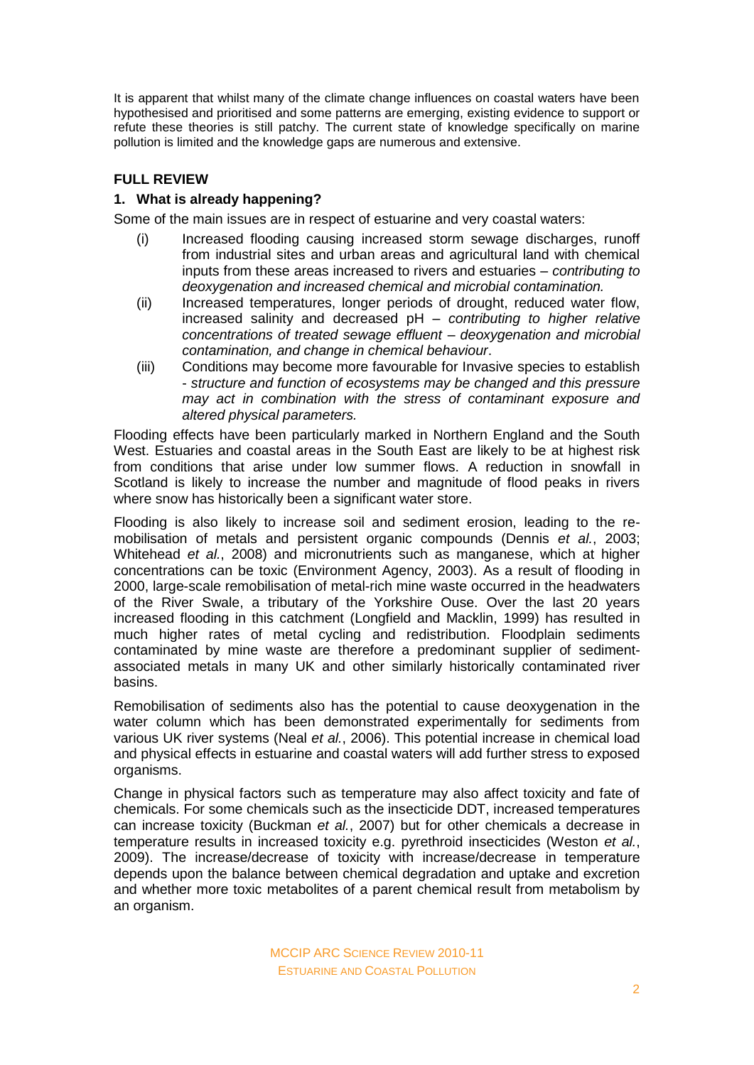It is apparent that whilst many of the climate change influences on coastal waters have been hypothesised and prioritised and some patterns are emerging, existing evidence to support or refute these theories is still patchy. The current state of knowledge specifically on marine pollution is limited and the knowledge gaps are numerous and extensive.

# **FULL REVIEW**

## **1. What is already happening?**

Some of the main issues are in respect of estuarine and very coastal waters:

- (i) Increased flooding causing increased storm sewage discharges, runoff from industrial sites and urban areas and agricultural land with chemical inputs from these areas increased to rivers and estuaries – *contributing to deoxygenation and increased chemical and microbial contamination.*
- (ii) Increased temperatures, longer periods of drought, reduced water flow, increased salinity and decreased pH – *contributing to higher relative concentrations of treated sewage effluent – deoxygenation and microbial contamination, and change in chemical behaviour*.
- (iii) Conditions may become more favourable for Invasive species to establish - *structure and function of ecosystems may be changed and this pressure may act in combination with the stress of contaminant exposure and altered physical parameters.*

Flooding effects have been particularly marked in Northern England and the South West. Estuaries and coastal areas in the South East are likely to be at highest risk from conditions that arise under low summer flows. A reduction in snowfall in Scotland is likely to increase the number and magnitude of flood peaks in rivers where snow has historically been a significant water store.

Flooding is also likely to increase soil and sediment erosion, leading to the remobilisation of metals and persistent organic compounds (Dennis *et al.*, 2003; Whitehead *et al.*, 2008) and micronutrients such as manganese, which at higher concentrations can be toxic (Environment Agency, 2003). As a result of flooding in 2000, large-scale remobilisation of metal-rich mine waste occurred in the headwaters of the River Swale, a tributary of the Yorkshire Ouse. Over the last 20 years increased flooding in this catchment (Longfield and Macklin, 1999) has resulted in much higher rates of metal cycling and redistribution. Floodplain sediments contaminated by mine waste are therefore a predominant supplier of sedimentassociated metals in many UK and other similarly historically contaminated river basins.

Remobilisation of sediments also has the potential to cause deoxygenation in the water column which has been demonstrated experimentally for sediments from various UK river systems (Neal *et al.*, 2006). This potential increase in chemical load and physical effects in estuarine and coastal waters will add further stress to exposed organisms.

Change in physical factors such as temperature may also affect toxicity and fate of chemicals. For some chemicals such as the insecticide DDT, increased temperatures can increase toxicity (Buckman *et al.*, 2007) but for other chemicals a decrease in temperature results in increased toxicity e.g. pyrethroid insecticides (Weston *et al.*, 2009). The increase/decrease of toxicity with increase/decrease in temperature depends upon the balance between chemical degradation and uptake and excretion and whether more toxic metabolites of a parent chemical result from metabolism by an organism.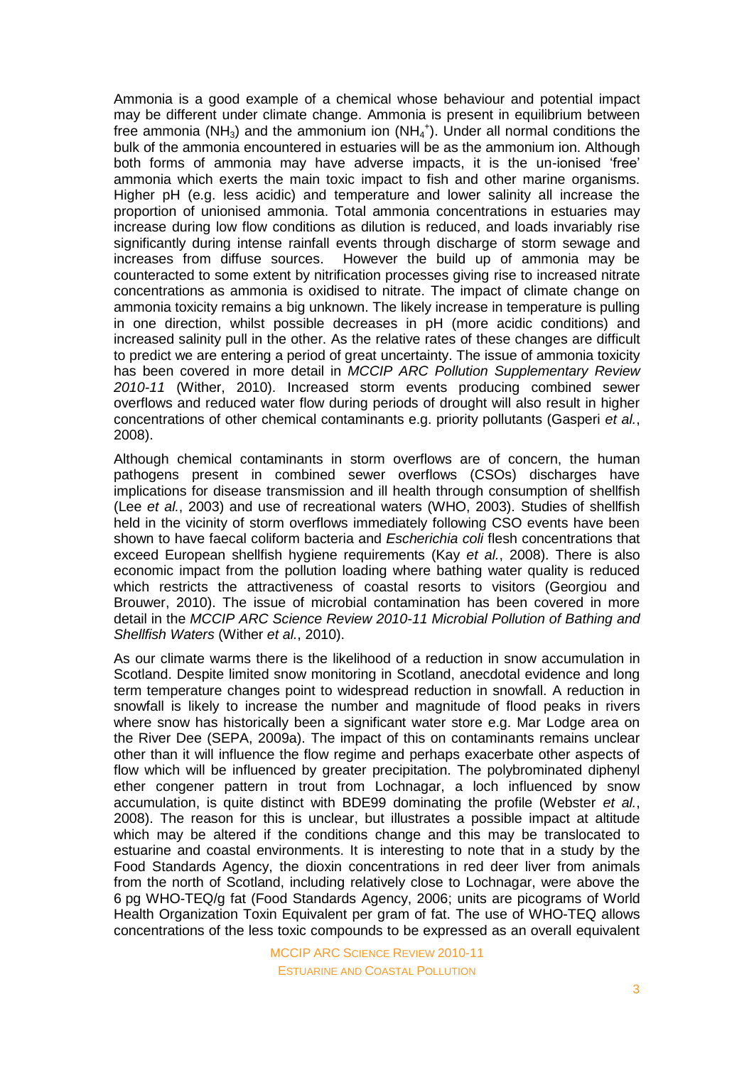Ammonia is a good example of a chemical whose behaviour and potential impact may be different under climate change. Ammonia is present in equilibrium between free ammonia (NH<sub>3</sub>) and the ammonium ion (NH<sub>4</sub><sup>+</sup>). Under all normal conditions the bulk of the ammonia encountered in estuaries will be as the ammonium ion. Although both forms of ammonia may have adverse impacts, it is the un-ionised 'free' ammonia which exerts the main toxic impact to fish and other marine organisms. Higher pH (e.g. less acidic) and temperature and lower salinity all increase the proportion of unionised ammonia. Total ammonia concentrations in estuaries may increase during low flow conditions as dilution is reduced, and loads invariably rise significantly during intense rainfall events through discharge of storm sewage and increases from diffuse sources. However the build up of ammonia may be counteracted to some extent by nitrification processes giving rise to increased nitrate concentrations as ammonia is oxidised to nitrate. The impact of climate change on ammonia toxicity remains a big unknown. The likely increase in temperature is pulling in one direction, whilst possible decreases in pH (more acidic conditions) and increased salinity pull in the other. As the relative rates of these changes are difficult to predict we are entering a period of great uncertainty. The issue of ammonia toxicity has been covered in more detail in *MCCIP ARC Pollution Supplementary Review 2010-11* (Wither, 2010). Increased storm events producing combined sewer overflows and reduced water flow during periods of drought will also result in higher concentrations of other chemical contaminants e.g. priority pollutants (Gasperi *et al.*, 2008).

Although chemical contaminants in storm overflows are of concern, the human pathogens present in combined sewer overflows (CSOs) discharges have implications for disease transmission and ill health through consumption of shellfish (Lee *et al.*, 2003) and use of recreational waters (WHO, 2003). Studies of shellfish held in the vicinity of storm overflows immediately following CSO events have been shown to have faecal coliform bacteria and *Escherichia coli* flesh concentrations that exceed European shellfish hygiene requirements (Kay *et al.*, 2008). There is also economic impact from the pollution loading where bathing water quality is reduced which restricts the attractiveness of coastal resorts to visitors (Georgiou and Brouwer, 2010). The issue of microbial contamination has been covered in more detail in the *MCCIP ARC Science Review 2010-11 Microbial Pollution of Bathing and Shellfish Waters* (Wither *et al.*, 2010).

As our climate warms there is the likelihood of a reduction in snow accumulation in Scotland. Despite limited snow monitoring in Scotland, anecdotal evidence and long term temperature changes point to widespread reduction in snowfall. A reduction in snowfall is likely to increase the number and magnitude of flood peaks in rivers where snow has historically been a significant water store e.g. Mar Lodge area on the River Dee (SEPA, 2009a). The impact of this on contaminants remains unclear other than it will influence the flow regime and perhaps exacerbate other aspects of flow which will be influenced by greater precipitation. The polybrominated diphenyl ether congener pattern in trout from Lochnagar, a loch influenced by snow accumulation, is quite distinct with BDE99 dominating the profile (Webster *et al.*, 2008). The reason for this is unclear, but illustrates a possible impact at altitude which may be altered if the conditions change and this may be translocated to estuarine and coastal environments. It is interesting to note that in a study by the Food Standards Agency, the dioxin concentrations in red deer liver from animals from the north of Scotland, including relatively close to Lochnagar, were above the 6 pg WHO-TEQ/g fat (Food Standards Agency, 2006; units are picograms of World Health Organization Toxin Equivalent per gram of fat. The use of WHO-TEQ allows concentrations of the less toxic compounds to be expressed as an overall equivalent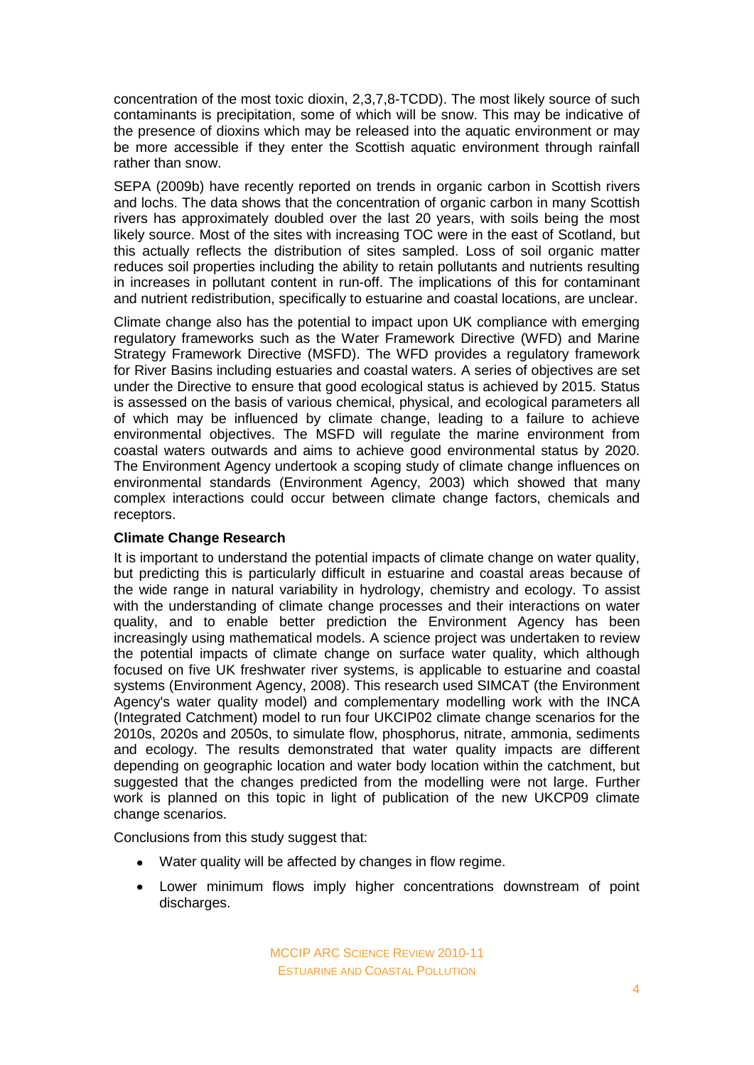concentration of the most toxic dioxin, 2,3,7,8-TCDD). The most likely source of such contaminants is precipitation, some of which will be snow. This may be indicative of the presence of dioxins which may be released into the aquatic environment or may be more accessible if they enter the Scottish aquatic environment through rainfall rather than snow.

SEPA (2009b) have recently reported on trends in organic carbon in Scottish rivers and lochs. The data shows that the concentration of organic carbon in many Scottish rivers has approximately doubled over the last 20 years, with soils being the most likely source. Most of the sites with increasing TOC were in the east of Scotland, but this actually reflects the distribution of sites sampled. Loss of soil organic matter reduces soil properties including the ability to retain pollutants and nutrients resulting in increases in pollutant content in run-off. The implications of this for contaminant and nutrient redistribution, specifically to estuarine and coastal locations, are unclear.

Climate change also has the potential to impact upon UK compliance with emerging regulatory frameworks such as the Water Framework Directive (WFD) and Marine Strategy Framework Directive (MSFD). The WFD provides a regulatory framework for River Basins including estuaries and coastal waters. A series of objectives are set under the Directive to ensure that good ecological status is achieved by 2015. Status is assessed on the basis of various chemical, physical, and ecological parameters all of which may be influenced by climate change, leading to a failure to achieve environmental objectives. The MSFD will regulate the marine environment from coastal waters outwards and aims to achieve good environmental status by 2020. The Environment Agency undertook a scoping study of climate change influences on environmental standards (Environment Agency, 2003) which showed that many complex interactions could occur between climate change factors, chemicals and receptors.

#### **Climate Change Research**

It is important to understand the potential impacts of climate change on water quality, but predicting this is particularly difficult in estuarine and coastal areas because of the wide range in natural variability in hydrology, chemistry and ecology. To assist with the understanding of climate change processes and their interactions on water quality, and to enable better prediction the Environment Agency has been increasingly using mathematical models. A science project was undertaken to review the potential impacts of climate change on surface water quality, which although focused on five UK freshwater river systems, is applicable to estuarine and coastal systems (Environment Agency, 2008). This research used SIMCAT (the Environment Agency's water quality model) and complementary modelling work with the INCA (Integrated Catchment) model to run four UKCIP02 climate change scenarios for the 2010s, 2020s and 2050s, to simulate flow, phosphorus, nitrate, ammonia, sediments and ecology. The results demonstrated that water quality impacts are different depending on geographic location and water body location within the catchment, but suggested that the changes predicted from the modelling were not large. Further work is planned on this topic in light of publication of the new UKCP09 climate change scenarios.

Conclusions from this study suggest that:

- Water quality will be affected by changes in flow regime.
- $\bullet$ Lower minimum flows imply higher concentrations downstream of point discharges.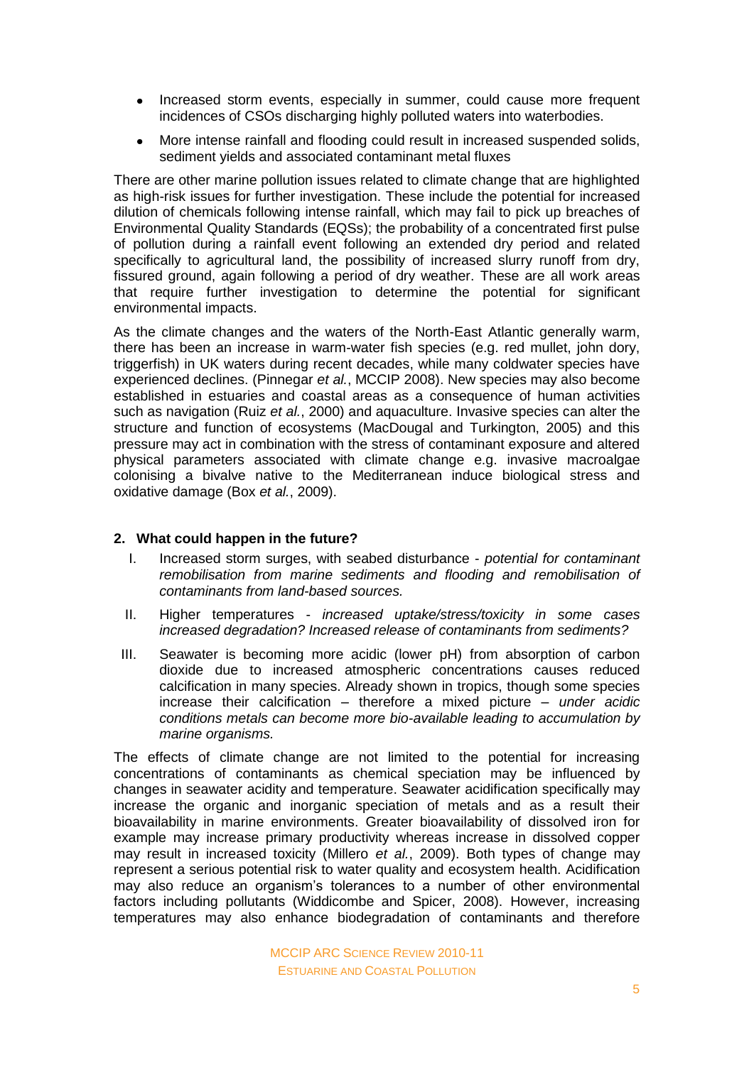- $\bullet$ Increased storm events, especially in summer, could cause more frequent incidences of CSOs discharging highly polluted waters into waterbodies.
- More intense rainfall and flooding could result in increased suspended solids,  $\bullet$ sediment yields and associated contaminant metal fluxes

There are other marine pollution issues related to climate change that are highlighted as high-risk issues for further investigation. These include the potential for increased dilution of chemicals following intense rainfall, which may fail to pick up breaches of Environmental Quality Standards (EQSs); the probability of a concentrated first pulse of pollution during a rainfall event following an extended dry period and related specifically to agricultural land, the possibility of increased slurry runoff from dry, fissured ground, again following a period of dry weather. These are all work areas that require further investigation to determine the potential for significant environmental impacts.

As the climate changes and the waters of the North-East Atlantic generally warm, there has been an increase in warm-water fish species (e.g. red mullet, john dory, triggerfish) in UK waters during recent decades, while many coldwater species have experienced declines. (Pinnegar *et al.*, MCCIP 2008). New species may also become established in estuaries and coastal areas as a consequence of human activities such as navigation (Ruiz *et al.*, 2000) and aquaculture. Invasive species can alter the structure and function of ecosystems (MacDougal and Turkington, 2005) and this pressure may act in combination with the stress of contaminant exposure and altered physical parameters associated with climate change e.g. invasive macroalgae colonising a bivalve native to the Mediterranean induce biological stress and oxidative damage (Box *et al.*, 2009).

#### **2. What could happen in the future?**

- I. Increased storm surges, with seabed disturbance *potential for contaminant remobilisation from marine sediments and flooding and remobilisation of contaminants from land-based sources.*
- II. Higher temperatures *increased uptake/stress/toxicity in some cases increased degradation? Increased release of contaminants from sediments?*
- III. Seawater is becoming more acidic (lower pH) from absorption of carbon dioxide due to increased atmospheric concentrations causes reduced calcification in many species. Already shown in tropics, though some species increase their calcification – therefore a mixed picture – *under acidic conditions metals can become more bio-available leading to accumulation by marine organisms.*

The effects of climate change are not limited to the potential for increasing concentrations of contaminants as chemical speciation may be influenced by changes in seawater acidity and temperature. Seawater acidification specifically may increase the organic and inorganic speciation of metals and as a result their bioavailability in marine environments. Greater bioavailability of dissolved iron for example may increase primary productivity whereas increase in dissolved copper may result in increased toxicity (Millero *et al.*, 2009). Both types of change may represent a serious potential risk to water quality and ecosystem health. Acidification may also reduce an organism's tolerances to a number of other environmental factors including pollutants (Widdicombe and Spicer, 2008). However, increasing temperatures may also enhance biodegradation of contaminants and therefore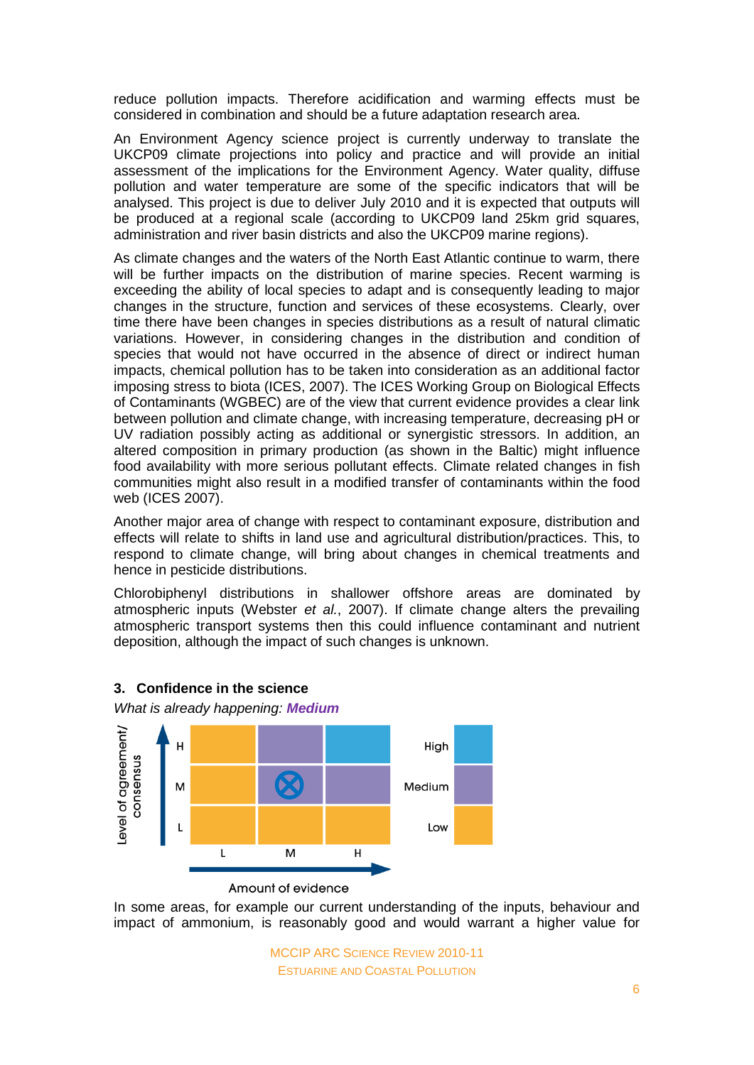reduce pollution impacts. Therefore acidification and warming effects must be considered in combination and should be a future adaptation research area.

An Environment Agency science project is currently underway to translate the UKCP09 climate projections into policy and practice and will provide an initial assessment of the implications for the Environment Agency. Water quality, diffuse pollution and water temperature are some of the specific indicators that will be analysed. This project is due to deliver July 2010 and it is expected that outputs will be produced at a regional scale (according to UKCP09 land 25km grid squares, administration and river basin districts and also the UKCP09 marine regions).

As climate changes and the waters of the North East Atlantic continue to warm, there will be further impacts on the distribution of marine species. Recent warming is exceeding the ability of local species to adapt and is consequently leading to major changes in the structure, function and services of these ecosystems. Clearly, over time there have been changes in species distributions as a result of natural climatic variations. However, in considering changes in the distribution and condition of species that would not have occurred in the absence of direct or indirect human impacts, chemical pollution has to be taken into consideration as an additional factor imposing stress to biota (ICES, 2007). The ICES Working Group on Biological Effects of Contaminants (WGBEC) are of the view that current evidence provides a clear link between pollution and climate change, with increasing temperature, decreasing pH or UV radiation possibly acting as additional or synergistic stressors. In addition, an altered composition in primary production (as shown in the Baltic) might influence food availability with more serious pollutant effects. Climate related changes in fish communities might also result in a modified transfer of contaminants within the food web (ICES 2007).

Another major area of change with respect to contaminant exposure, distribution and effects will relate to shifts in land use and agricultural distribution/practices. This, to respond to climate change, will bring about changes in chemical treatments and hence in pesticide distributions.

Chlorobiphenyl distributions in shallower offshore areas are dominated by atmospheric inputs (Webster *et al.*, 2007). If climate change alters the prevailing atmospheric transport systems then this could influence contaminant and nutrient deposition, although the impact of such changes is unknown.



## **3. Confidence in the science**

In some areas, for example our current understanding of the inputs, behaviour and impact of ammonium, is reasonably good and would warrant a higher value for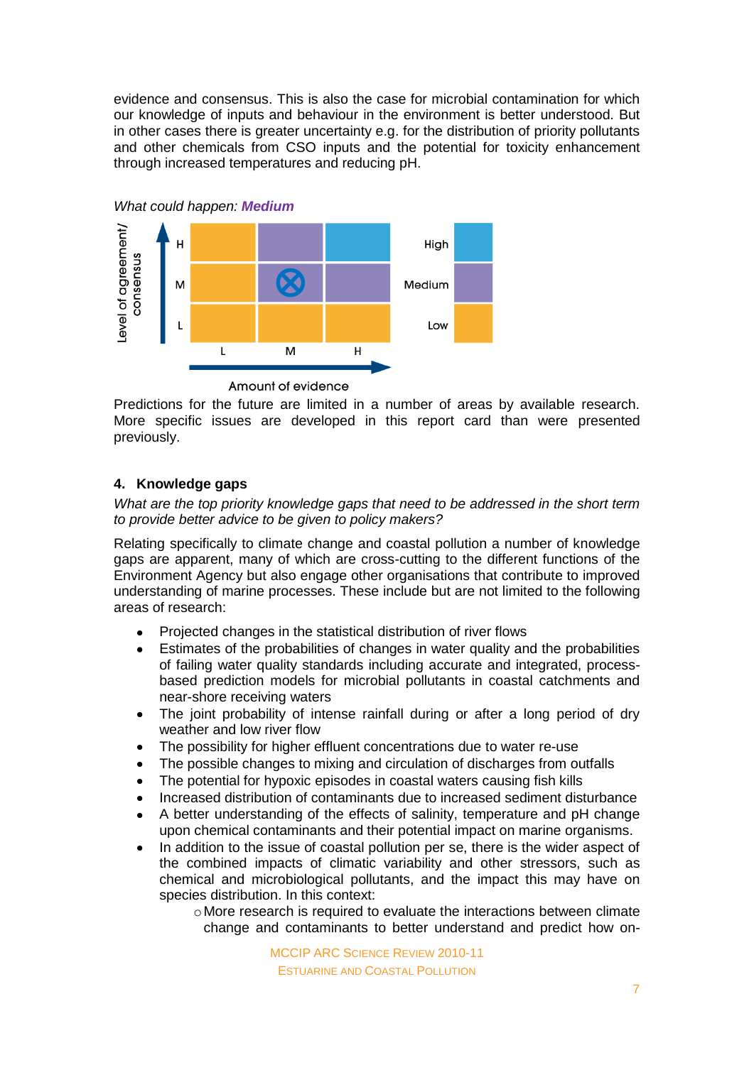evidence and consensus. This is also the case for microbial contamination for which our knowledge of inputs and behaviour in the environment is better understood. But in other cases there is greater uncertainty e.g. for the distribution of priority pollutants and other chemicals from CSO inputs and the potential for toxicity enhancement through increased temperatures and reducing pH.



Amount of evidence

Predictions for the future are limited in a number of areas by available research. More specific issues are developed in this report card than were presented previously.

# **4. Knowledge gaps**

*What are the top priority knowledge gaps that need to be addressed in the short term to provide better advice to be given to policy makers?*

Relating specifically to climate change and coastal pollution a number of knowledge gaps are apparent, many of which are cross-cutting to the different functions of the Environment Agency but also engage other organisations that contribute to improved understanding of marine processes. These include but are not limited to the following areas of research:

- Projected changes in the statistical distribution of river flows
- Estimates of the probabilities of changes in water quality and the probabilities of failing water quality standards including accurate and integrated, processbased prediction models for microbial pollutants in coastal catchments and near-shore receiving waters
- $\bullet$ The joint probability of intense rainfall during or after a long period of dry weather and low river flow
- The possibility for higher effluent concentrations due to water re-use  $\bullet$
- The possible changes to mixing and circulation of discharges from outfalls
- The potential for hypoxic episodes in coastal waters causing fish kills
- Increased distribution of contaminants due to increased sediment disturbance
- A better understanding of the effects of salinity, temperature and pH change  $\bullet$ upon chemical contaminants and their potential impact on marine organisms.
- In addition to the issue of coastal pollution per se, there is the wider aspect of the combined impacts of climatic variability and other stressors, such as chemical and microbiological pollutants, and the impact this may have on species distribution. In this context:
	- oMore research is required to evaluate the interactions between climate change and contaminants to better understand and predict how on-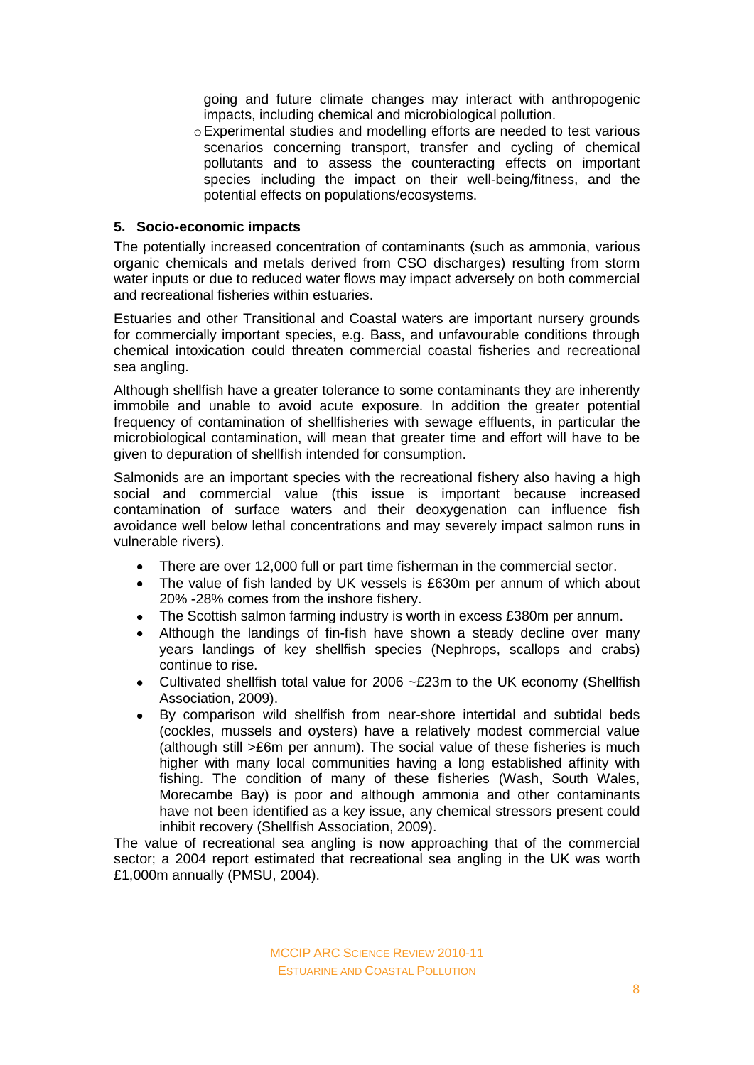going and future climate changes may interact with anthropogenic impacts, including chemical and microbiological pollution.

oExperimental studies and modelling efforts are needed to test various scenarios concerning transport, transfer and cycling of chemical pollutants and to assess the counteracting effects on important species including the impact on their well-being/fitness, and the potential effects on populations/ecosystems.

#### **5. Socio-economic impacts**

The potentially increased concentration of contaminants (such as ammonia, various organic chemicals and metals derived from CSO discharges) resulting from storm water inputs or due to reduced water flows may impact adversely on both commercial and recreational fisheries within estuaries.

Estuaries and other Transitional and Coastal waters are important nursery grounds for commercially important species, e.g. Bass, and unfavourable conditions through chemical intoxication could threaten commercial coastal fisheries and recreational sea angling.

Although shellfish have a greater tolerance to some contaminants they are inherently immobile and unable to avoid acute exposure. In addition the greater potential frequency of contamination of shellfisheries with sewage effluents, in particular the microbiological contamination, will mean that greater time and effort will have to be given to depuration of shellfish intended for consumption.

Salmonids are an important species with the recreational fishery also having a high social and commercial value (this issue is important because increased contamination of surface waters and their deoxygenation can influence fish avoidance well below lethal concentrations and may severely impact salmon runs in vulnerable rivers).

- There are over 12,000 full or part time fisherman in the commercial sector.
- $\bullet$ The value of fish landed by UK vessels is £630m per annum of which about 20% -28% comes from the inshore fishery.
- The Scottish salmon farming industry is worth in excess £380m per annum.  $\bullet$
- Although the landings of fin-fish have shown a steady decline over many years landings of key shellfish species (Nephrops, scallops and crabs) continue to rise.
- Cultivated shellfish total value for 2006 ~£23m to the UK economy (Shellfish Association, 2009).
- By comparison wild shellfish from near-shore intertidal and subtidal beds  $\bullet$ (cockles, mussels and oysters) have a relatively modest commercial value (although still >£6m per annum). The social value of these fisheries is much higher with many local communities having a long established affinity with fishing. The condition of many of these fisheries (Wash, South Wales, Morecambe Bay) is poor and although ammonia and other contaminants have not been identified as a key issue, any chemical stressors present could inhibit recovery (Shellfish Association, 2009).

The value of recreational sea angling is now approaching that of the commercial sector; a 2004 report estimated that recreational sea angling in the UK was worth £1,000m annually (PMSU, 2004).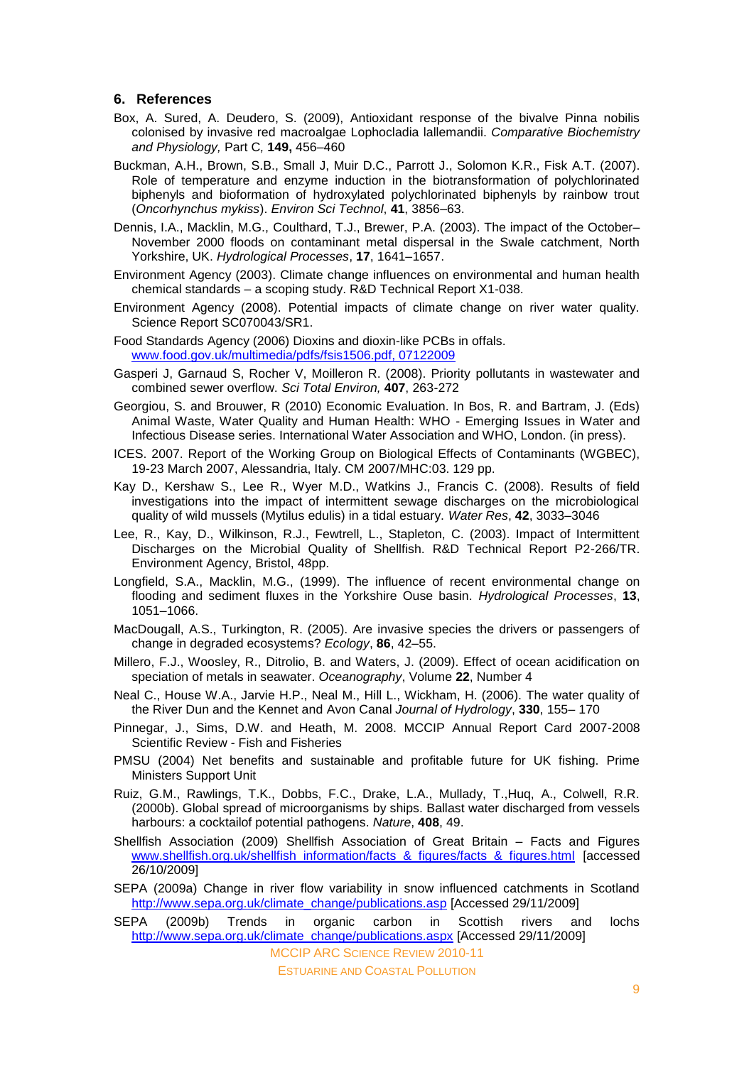#### **6. References**

- Box, A. Sured, A. Deudero, S. (2009), Antioxidant response of the bivalve Pinna nobilis colonised by invasive red macroalgae Lophocladia lallemandii. *Comparative Biochemistry and Physiology,* Part C*,* **149,** 456–460
- Buckman, A.H., Brown, S.B., Small J, Muir D.C., Parrott J., Solomon K.R., Fisk A.T. (2007). Role of temperature and enzyme induction in the biotransformation of polychlorinated biphenyls and bioformation of hydroxylated polychlorinated biphenyls by rainbow trout (*Oncorhynchus mykiss*). *Environ Sci Technol*, **41**, 3856–63.
- Dennis, I.A., Macklin, M.G., Coulthard, T.J., Brewer, P.A. (2003). The impact of the October– November 2000 floods on contaminant metal dispersal in the Swale catchment, North Yorkshire, UK. *Hydrological Processes*, **17**, 1641–1657.
- Environment Agency (2003). Climate change influences on environmental and human health chemical standards – a scoping study. R&D Technical Report X1-038.
- Environment Agency (2008). Potential impacts of climate change on river water quality. Science Report SC070043/SR1.
- Food Standards Agency (2006) Dioxins and dioxin-like PCBs in offals. [www.food.gov.uk/multimedia/pdfs/fsis1506.pdf, 07122009](http://www.food.gov.uk/multimedia/pdfs/fsis1506.pdf,%2007122009)
- Gasperi J, Garnaud S, Rocher V, Moilleron R. (2008). Priority pollutants in wastewater and combined sewer overflow. *Sci Total Environ,* **407**, 263-272
- Georgiou, S. and Brouwer, R (2010) Economic Evaluation. In Bos, R. and Bartram, J. (Eds) Animal Waste, Water Quality and Human Health: WHO - Emerging Issues in Water and Infectious Disease series. International Water Association and WHO, London. (in press).
- ICES. 2007. Report of the Working Group on Biological Effects of Contaminants (WGBEC), 19-23 March 2007, Alessandria, Italy. CM 2007/MHC:03. 129 pp.
- Kay D., Kershaw S., Lee R., Wyer M.D., Watkins J., Francis C. (2008). Results of field investigations into the impact of intermittent sewage discharges on the microbiological quality of wild mussels (Mytilus edulis) in a tidal estuary. *Water Res*, **42**, 3033–3046
- Lee, R., Kay, D., Wilkinson, R.J., Fewtrell, L., Stapleton, C. (2003). Impact of Intermittent Discharges on the Microbial Quality of Shellfish. R&D Technical Report P2-266/TR. Environment Agency, Bristol, 48pp.
- Longfield, S.A., Macklin, M.G., (1999). The influence of recent environmental change on flooding and sediment fluxes in the Yorkshire Ouse basin. *Hydrological Processes*, **13**, 1051–1066.
- MacDougall, A.S., Turkington, R. (2005). Are invasive species the drivers or passengers of change in degraded ecosystems? *Ecology*, **86**, 42–55.
- Millero, F.J., Woosley, R., Ditrolio, B. and Waters, J. (2009). Effect of ocean acidification on speciation of metals in seawater. *Oceanography*, Volume **22**, Number 4
- Neal C., House W.A., Jarvie H.P., Neal M., Hill L., Wickham, H. (2006). The water quality of the River Dun and the Kennet and Avon Canal *Journal of Hydrology*, **330**, 155– 170
- Pinnegar, J., Sims, D.W. and Heath, M. 2008. MCCIP Annual Report Card 2007-2008 Scientific Review - Fish and Fisheries
- PMSU (2004) Net benefits and sustainable and profitable future for UK fishing. Prime Ministers Support Unit
- Ruiz, G.M., Rawlings, T.K., Dobbs, F.C., Drake, L.A., Mullady, T.,Huq, A., Colwell, R.R. (2000b). Global spread of microorganisms by ships. Ballast water discharged from vessels harbours: a cocktailof potential pathogens. *Nature*, **408**, 49.
- Shellfish Association (2009) Shellfish Association of Great Britain Facts and Figures [www.shellfish.org.uk/shellfish\\_information/facts\\_&\\_figures/facts\\_&\\_figures.html](http://www.shellfish.org.uk/shellfish_information/facts_&_figures/facts_&_figures.html) [accessed 26/10/2009]
- SEPA (2009a) Change in river flow variability in snow influenced catchments in Scotland [http://www.sepa.org.uk/climate\\_change/publications.asp](http://www.sepa.org.uk/climate_change/publications.asp) [Accessed 29/11/2009]
- MCCIP ARC SCIENCE REVIEW 2010-11 SEPA (2009b) Trends in organic carbon in Scottish rivers and lochs [http://www.sepa.org.uk/climate\\_change/publications.aspx](http://www.sepa.org.uk/climate_change/publications.aspx) [Accessed 29/11/2009]